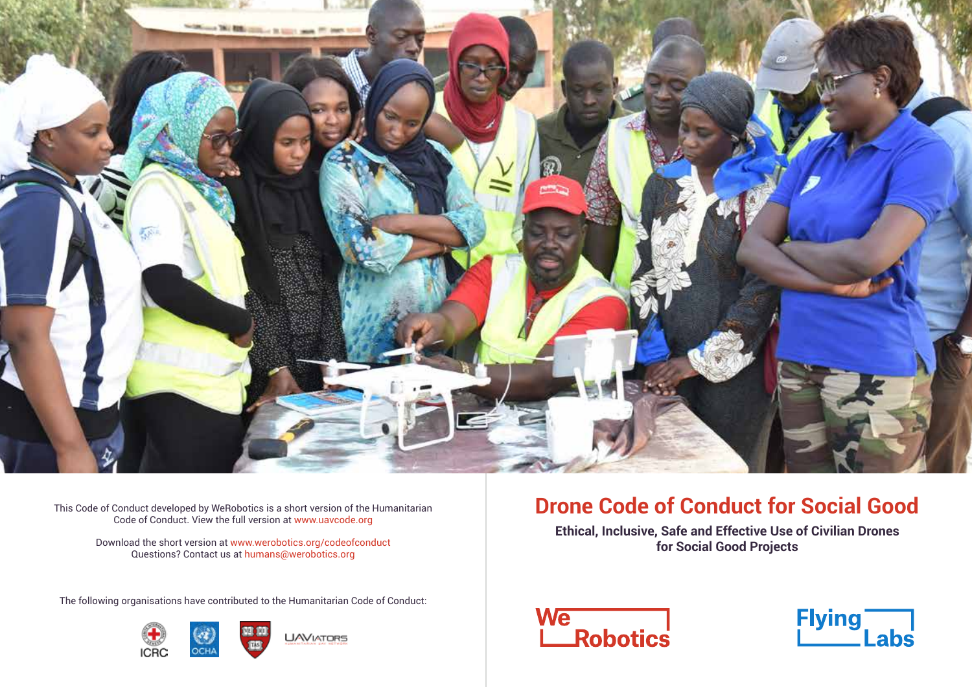

Code of Conduct. View the full version at www.uavcode.org

Download the short version at www.werobotics.org/codeofconduct Questions? Contact us at humans@werobotics.org

The following organisations have contributed to the Humanitarian Code of Conduct:



## This Code of Conduct developed by WeRobotics is a short version of the Humanitarian **Drone Code of Conduct for Social Good**

**Ethical, Inclusive, Safe and Effective Use of Civilian Drones for Social Good Projects**